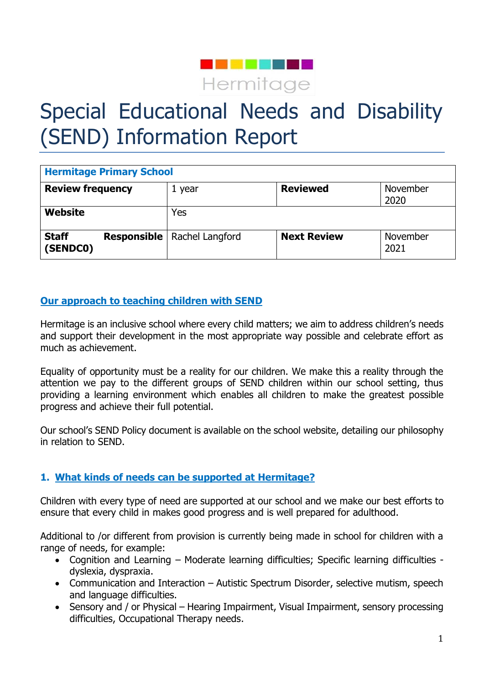

# Special Educational Needs and Disability (SEND) Information Report

| <b>Hermitage Primary School</b> |                                      |                    |                  |
|---------------------------------|--------------------------------------|--------------------|------------------|
| <b>Review frequency</b>         | 1 year                               | <b>Reviewed</b>    | November<br>2020 |
| <b>Website</b>                  | Yes                                  |                    |                  |
| <b>Staff</b><br>(SENDCO)        | <b>Responsible   Rachel Langford</b> | <b>Next Review</b> | November<br>2021 |

# **Our approach to teaching children with SEND**

Hermitage is an inclusive school where every child matters; we aim to address children's needs and support their development in the most appropriate way possible and celebrate effort as much as achievement.

Equality of opportunity must be a reality for our children. We make this a reality through the attention we pay to the different groups of SEND children within our school setting, thus providing a learning environment which enables all children to make the greatest possible progress and achieve their full potential.

Our school's SEND Policy document is available on the school website, detailing our philosophy in relation to SEND.

# **1. What kinds of needs can be supported at Hermitage?**

Children with every type of need are supported at our school and we make our best efforts to ensure that every child in makes good progress and is well prepared for adulthood.

Additional to /or different from provision is currently being made in school for children with a range of needs, for example:

- Cognition and Learning Moderate learning difficulties; Specific learning difficulties dyslexia, dyspraxia.
- Communication and Interaction Autistic Spectrum Disorder, selective mutism, speech and language difficulties.
- Sensory and / or Physical Hearing Impairment, Visual Impairment, sensory processing difficulties, Occupational Therapy needs.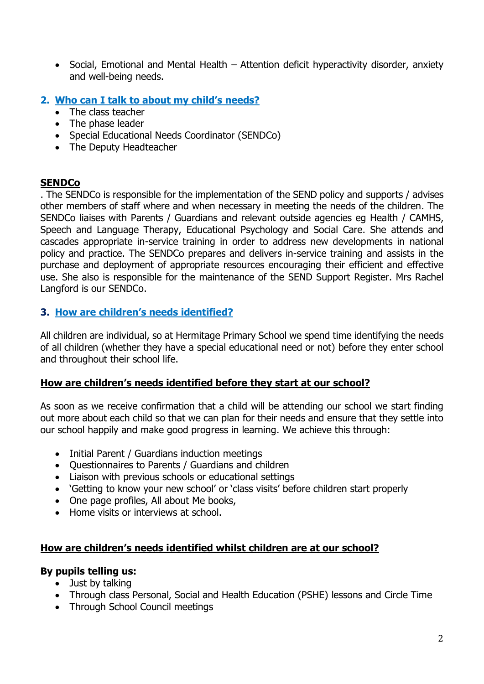- Social, Emotional and Mental Health Attention deficit hyperactivity disorder, anxiety and well-being needs.
- **2. Who can I talk to about my child's needs?**
	- The class teacher
	- The phase leader
	- Special Educational Needs Coordinator (SENDCo)
	- The Deputy Headteacher

## **SENDCo**

. The SENDCo is responsible for the implementation of the SEND policy and supports / advises other members of staff where and when necessary in meeting the needs of the children. The SENDCo liaises with Parents / Guardians and relevant outside agencies eg Health / CAMHS, Speech and Language Therapy, Educational Psychology and Social Care. She attends and cascades appropriate in-service training in order to address new developments in national policy and practice. The SENDCo prepares and delivers in-service training and assists in the purchase and deployment of appropriate resources encouraging their efficient and effective use. She also is responsible for the maintenance of the SEND Support Register. Mrs Rachel Langford is our SENDCo.

## **3. How are children's needs identified?**

All children are individual, so at Hermitage Primary School we spend time identifying the needs of all children (whether they have a special educational need or not) before they enter school and throughout their school life.

#### **How are children's needs identified before they start at our school?**

As soon as we receive confirmation that a child will be attending our school we start finding out more about each child so that we can plan for their needs and ensure that they settle into our school happily and make good progress in learning. We achieve this through:

- Initial Parent / Guardians induction meetings
- Ouestionnaires to Parents / Guardians and children
- Liaison with previous schools or educational settings
- 'Getting to know your new school' or 'class visits' before children start properly
- One page profiles, All about Me books,
- Home visits or interviews at school.

# **How are children's needs identified whilst children are at our school?**

#### **By pupils telling us:**

- Just by talking
- Through class Personal, Social and Health Education (PSHE) lessons and Circle Time
- Through School Council meetings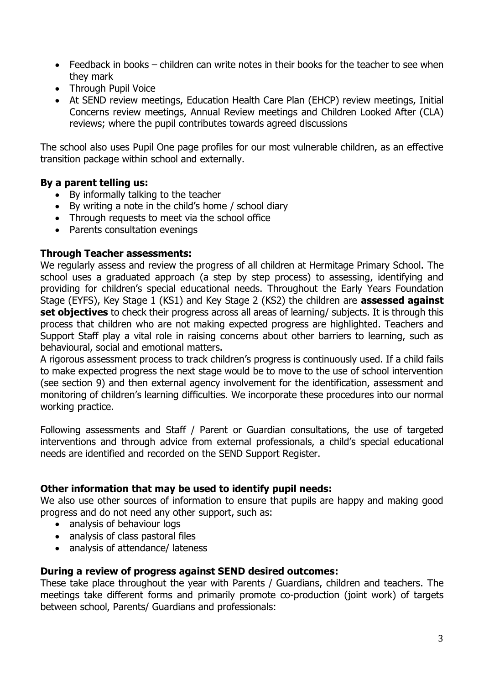- Feedback in books children can write notes in their books for the teacher to see when they mark
- Through Pupil Voice
- At SEND review meetings, Education Health Care Plan (EHCP) review meetings, Initial Concerns review meetings, Annual Review meetings and Children Looked After (CLA) reviews; where the pupil contributes towards agreed discussions

The school also uses Pupil One page profiles for our most vulnerable children, as an effective transition package within school and externally.

# **By a parent telling us:**

- By informally talking to the teacher
- By writing a note in the child's home / school diary
- Through requests to meet via the school office
- Parents consultation evenings

#### **Through Teacher assessments:**

We regularly assess and review the progress of all children at Hermitage Primary School. The school uses a graduated approach (a step by step process) to assessing, identifying and providing for children's special educational needs. Throughout the Early Years Foundation Stage (EYFS), Key Stage 1 (KS1) and Key Stage 2 (KS2) the children are **assessed against set objectives** to check their progress across all areas of learning/ subjects. It is through this process that children who are not making expected progress are highlighted. Teachers and Support Staff play a vital role in raising concerns about other barriers to learning, such as behavioural, social and emotional matters.

A rigorous assessment process to track children's progress is continuously used. If a child fails to make expected progress the next stage would be to move to the use of school intervention (see section 9) and then external agency involvement for the identification, assessment and monitoring of children's learning difficulties. We incorporate these procedures into our normal working practice.

Following assessments and Staff / Parent or Guardian consultations, the use of targeted interventions and through advice from external professionals, a child's special educational needs are identified and recorded on the SEND Support Register.

# **Other information that may be used to identify pupil needs:**

We also use other sources of information to ensure that pupils are happy and making good progress and do not need any other support, such as:

- analysis of behaviour logs
- analysis of class pastoral files
- analysis of attendance/ lateness

#### **During a review of progress against SEND desired outcomes:**

These take place throughout the year with Parents / Guardians, children and teachers. The meetings take different forms and primarily promote co-production (joint work) of targets between school, Parents/ Guardians and professionals: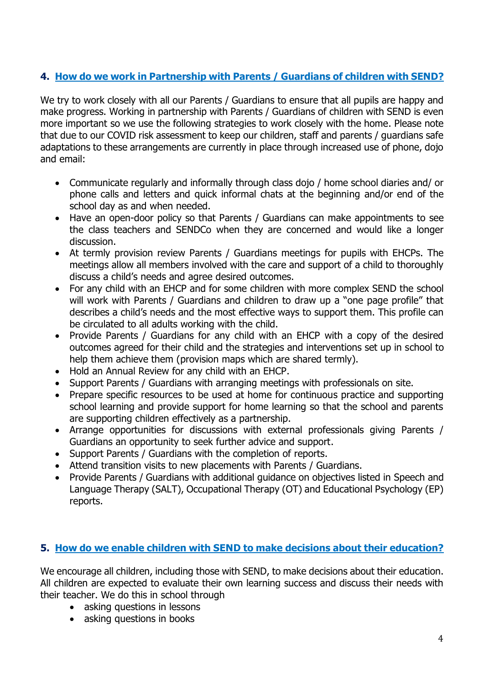# **4. How do we work in Partnership with Parents / Guardians of children with SEND?**

We try to work closely with all our Parents / Guardians to ensure that all pupils are happy and make progress. Working in partnership with Parents / Guardians of children with SEND is even more important so we use the following strategies to work closely with the home. Please note that due to our COVID risk assessment to keep our children, staff and parents / guardians safe adaptations to these arrangements are currently in place through increased use of phone, dojo and email:

- Communicate regularly and informally through class dojo / home school diaries and/ or phone calls and letters and quick informal chats at the beginning and/or end of the school day as and when needed.
- Have an open-door policy so that Parents / Guardians can make appointments to see the class teachers and SENDCo when they are concerned and would like a longer discussion.
- At termly provision review Parents / Guardians meetings for pupils with EHCPs. The meetings allow all members involved with the care and support of a child to thoroughly discuss a child's needs and agree desired outcomes.
- For any child with an EHCP and for some children with more complex SEND the school will work with Parents / Guardians and children to draw up a "one page profile" that describes a child's needs and the most effective ways to support them. This profile can be circulated to all adults working with the child.
- Provide Parents / Guardians for any child with an EHCP with a copy of the desired outcomes agreed for their child and the strategies and interventions set up in school to help them achieve them (provision maps which are shared termly).
- Hold an Annual Review for any child with an EHCP.
- Support Parents / Guardians with arranging meetings with professionals on site.
- Prepare specific resources to be used at home for continuous practice and supporting school learning and provide support for home learning so that the school and parents are supporting children effectively as a partnership.
- Arrange opportunities for discussions with external professionals giving Parents / Guardians an opportunity to seek further advice and support.
- Support Parents / Guardians with the completion of reports.
- Attend transition visits to new placements with Parents / Guardians.
- Provide Parents / Guardians with additional guidance on objectives listed in Speech and Language Therapy (SALT), Occupational Therapy (OT) and Educational Psychology (EP) reports.

# **5. How do we enable children with SEND to make decisions about their education?**

We encourage all children, including those with SEND, to make decisions about their education. All children are expected to evaluate their own learning success and discuss their needs with their teacher. We do this in school through

- asking questions in lessons
- asking questions in books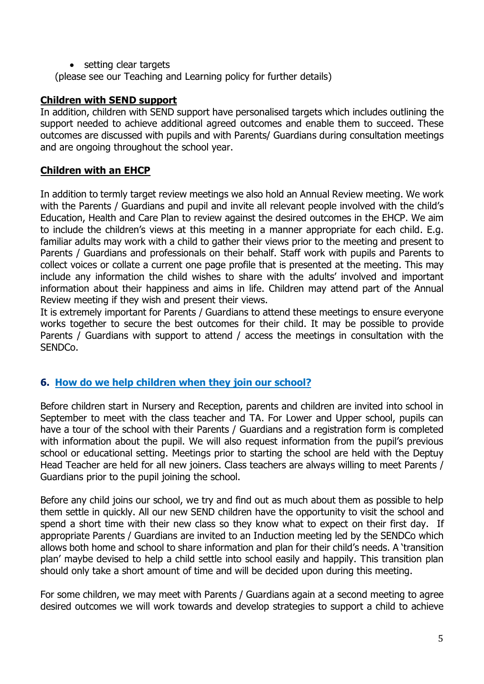• setting clear targets

(please see our Teaching and Learning policy for further details)

## **Children with SEND support**

In addition, children with SEND support have personalised targets which includes outlining the support needed to achieve additional agreed outcomes and enable them to succeed. These outcomes are discussed with pupils and with Parents/ Guardians during consultation meetings and are ongoing throughout the school year.

# **Children with an EHCP**

In addition to termly target review meetings we also hold an Annual Review meeting. We work with the Parents / Guardians and pupil and invite all relevant people involved with the child's Education, Health and Care Plan to review against the desired outcomes in the EHCP. We aim to include the children's views at this meeting in a manner appropriate for each child. E.g. familiar adults may work with a child to gather their views prior to the meeting and present to Parents / Guardians and professionals on their behalf. Staff work with pupils and Parents to collect voices or collate a current one page profile that is presented at the meeting. This may include any information the child wishes to share with the adults' involved and important information about their happiness and aims in life. Children may attend part of the Annual Review meeting if they wish and present their views.

It is extremely important for Parents / Guardians to attend these meetings to ensure everyone works together to secure the best outcomes for their child. It may be possible to provide Parents / Guardians with support to attend / access the meetings in consultation with the SENDCo.

# **6. How do we help children when they join our school?**

Before children start in Nursery and Reception, parents and children are invited into school in September to meet with the class teacher and TA. For Lower and Upper school, pupils can have a tour of the school with their Parents / Guardians and a registration form is completed with information about the pupil. We will also request information from the pupil's previous school or educational setting. Meetings prior to starting the school are held with the Deptuy Head Teacher are held for all new joiners. Class teachers are always willing to meet Parents / Guardians prior to the pupil joining the school.

Before any child joins our school, we try and find out as much about them as possible to help them settle in quickly. All our new SEND children have the opportunity to visit the school and spend a short time with their new class so they know what to expect on their first day. If appropriate Parents / Guardians are invited to an Induction meeting led by the SENDCo which allows both home and school to share information and plan for their child's needs. A 'transition plan' maybe devised to help a child settle into school easily and happily. This transition plan should only take a short amount of time and will be decided upon during this meeting.

For some children, we may meet with Parents / Guardians again at a second meeting to agree desired outcomes we will work towards and develop strategies to support a child to achieve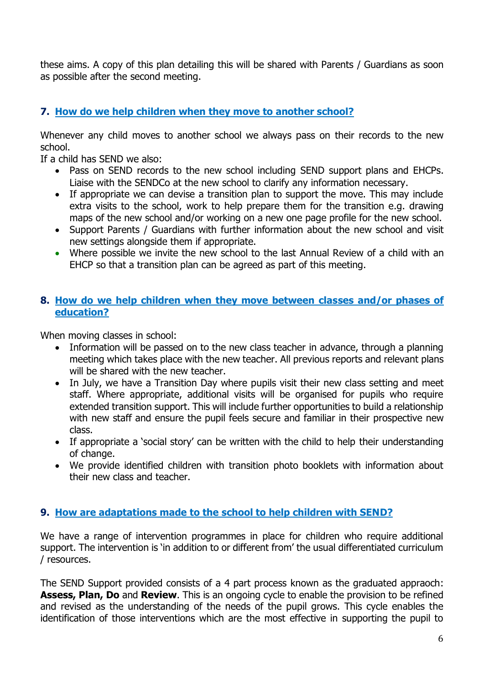these aims. A copy of this plan detailing this will be shared with Parents / Guardians as soon as possible after the second meeting.

## **7. How do we help children when they move to another school?**

Whenever any child moves to another school we always pass on their records to the new school.

If a child has SEND we also:

- Pass on SEND records to the new school including SEND support plans and EHCPs. Liaise with the SENDCo at the new school to clarify any information necessary.
- If appropriate we can devise a transition plan to support the move. This may include extra visits to the school, work to help prepare them for the transition e.g. drawing maps of the new school and/or working on a new one page profile for the new school.
- Support Parents / Guardians with further information about the new school and visit new settings alongside them if appropriate.
- Where possible we invite the new school to the last Annual Review of a child with an EHCP so that a transition plan can be agreed as part of this meeting.

#### **8. How do we help children when they move between classes and/or phases of education?**

When moving classes in school:

- Information will be passed on to the new class teacher in advance, through a planning meeting which takes place with the new teacher. All previous reports and relevant plans will be shared with the new teacher.
- In July, we have a Transition Day where pupils visit their new class setting and meet staff. Where appropriate, additional visits will be organised for pupils who require extended transition support. This will include further opportunities to build a relationship with new staff and ensure the pupil feels secure and familiar in their prospective new class.
- If appropriate a 'social story' can be written with the child to help their understanding of change.
- We provide identified children with transition photo booklets with information about their new class and teacher.

#### **9. How are adaptations made to the school to help children with SEND?**

We have a range of intervention programmes in place for children who require additional support. The intervention is 'in addition to or different from' the usual differentiated curriculum / resources.

The SEND Support provided consists of a 4 part process known as the graduated appraoch: **Assess, Plan, Do** and **Review**. This is an ongoing cycle to enable the provision to be refined and revised as the understanding of the needs of the pupil grows. This cycle enables the identification of those interventions which are the most effective in supporting the pupil to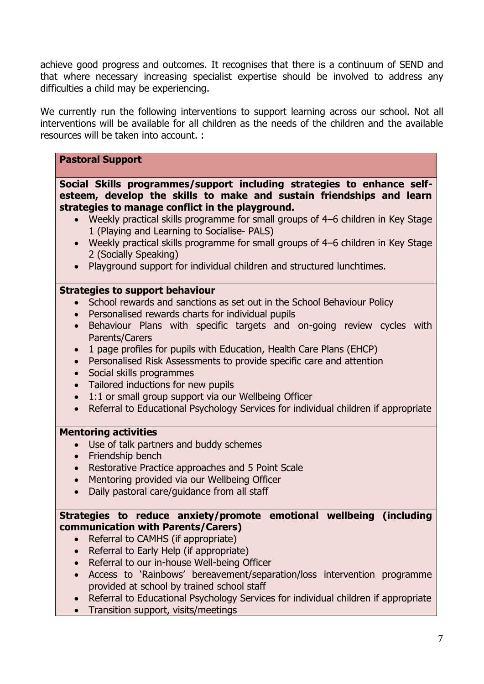achieve good progress and outcomes. It recognises that there is a continuum of SEND and that where necessary increasing specialist expertise should be involved to address any difficulties a child may be experiencing.

We currently run the following interventions to support learning across our school. Not all interventions will be available for all children as the needs of the children and the available resources will be taken into account. :

### **Pastoral Support**

**Social Skills programmes/support including strategies to enhance selfesteem, develop the skills to make and sustain friendships and learn strategies to manage conflict in the playground.**

- Weekly practical skills programme for small groups of 4–6 children in Key Stage 1 (Playing and Learning to Socialise- PALS)
- Weekly practical skills programme for small groups of 4–6 children in Key Stage 2 (Socially Speaking)
- Playground support for individual children and structured lunchtimes.

#### **Strategies to support behaviour**

- School rewards and sanctions as set out in the School Behaviour Policy
- Personalised rewards charts for individual pupils
- Behaviour Plans with specific targets and on-going review cycles with Parents/Carers
- 1 page profiles for pupils with Education, Health Care Plans (EHCP)
- Personalised Risk Assessments to provide specific care and attention
- Social skills programmes
- Tailored inductions for new pupils
- 1:1 or small group support via our Wellbeing Officer
- Referral to Educational Psychology Services for individual children if appropriate

#### **Mentoring activities**

- Use of talk partners and buddy schemes
- Friendship bench
- Restorative Practice approaches and 5 Point Scale
- Mentoring provided via our Wellbeing Officer
- Daily pastoral care/guidance from all staff

## **Strategies to reduce anxiety/promote emotional wellbeing (including communication with Parents/Carers)**

- Referral to CAMHS (if appropriate)
- Referral to Early Help (if appropriate)
- Referral to our in-house Well-being Officer
- Access to 'Rainbows' bereavement/separation/loss intervention programme provided at school by trained school staff
- Referral to Educational Psychology Services for individual children if appropriate
- Transition support, visits/meetings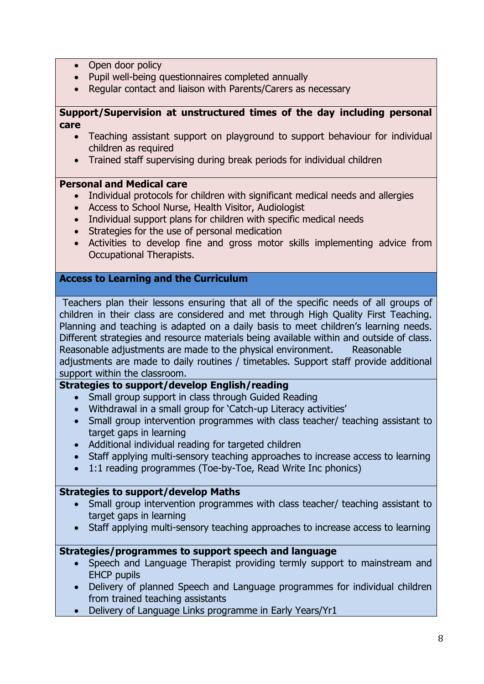- Open door policy
- Pupil well-being questionnaires completed annually
- Regular contact and liaison with Parents/Carers as necessary

#### **Support/Supervision at unstructured times of the day including personal care**

- Teaching assistant support on playground to support behaviour for individual children as required
- Trained staff supervising during break periods for individual children

#### **Personal and Medical care**

- Individual protocols for children with significant medical needs and allergies
- Access to School Nurse, Health Visitor, Audiologist
- Individual support plans for children with specific medical needs
- Strategies for the use of personal medication
- Activities to develop fine and gross motor skills implementing advice from Occupational Therapists.

#### **Access to Learning and the Curriculum**

Teachers plan their lessons ensuring that all of the specific needs of all groups of children in their class are considered and met through High Quality First Teaching. Planning and teaching is adapted on a daily basis to meet children's learning needs. Different strategies and resource materials being available within and outside of class. Reasonable adjustments are made to the physical environment. Reasonable adjustments are made to daily routines / timetables. Support staff provide additional support within the classroom.

#### **Strategies to support/develop English/reading**

- Small group support in class through Guided Reading
- Withdrawal in a small group for 'Catch-up Literacy activities'
- Small group intervention programmes with class teacher/ teaching assistant to target gaps in learning
- Additional individual reading for targeted children
- Staff applying multi-sensory teaching approaches to increase access to learning
- 1:1 reading programmes (Toe-by-Toe, Read Write Inc phonics)

#### **Strategies to support/develop Maths**

- Small group intervention programmes with class teacher/ teaching assistant to target gaps in learning
- Staff applying multi-sensory teaching approaches to increase access to learning

#### **Strategies/programmes to support speech and language**

- Speech and Language Therapist providing termly support to mainstream and EHCP pupils
- Delivery of planned Speech and Language programmes for individual children from trained teaching assistants
- Delivery of Language Links programme in Early Years/Yr1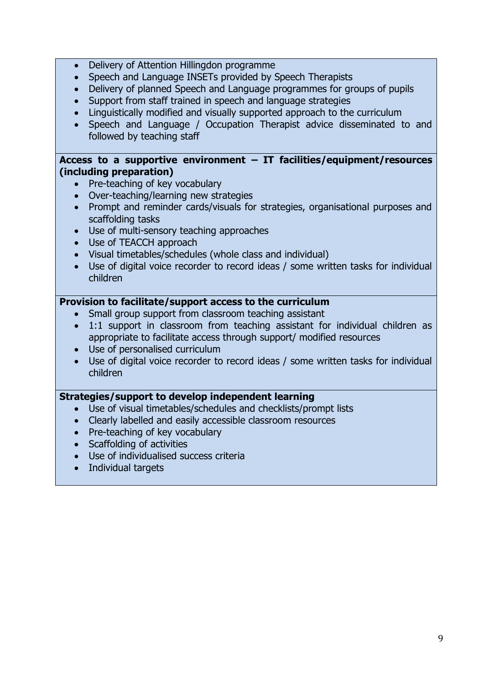- Delivery of Attention Hillingdon programme
- Speech and Language INSETs provided by Speech Therapists
- Delivery of planned Speech and Language programmes for groups of pupils
- Support from staff trained in speech and language strategies
- Linguistically modified and visually supported approach to the curriculum
- Speech and Language / Occupation Therapist advice disseminated to and followed by teaching staff

#### **Access to a supportive environment – IT facilities/equipment/resources (including preparation)**

- Pre-teaching of key vocabulary
- Over-teaching/learning new strategies
- Prompt and reminder cards/visuals for strategies, organisational purposes and scaffolding tasks
- Use of multi-sensory teaching approaches
- Use of TEACCH approach
- Visual timetables/schedules (whole class and individual)
- Use of digital voice recorder to record ideas / some written tasks for individual children

## **Provision to facilitate/support access to the curriculum**

- Small group support from classroom teaching assistant
- 1:1 support in classroom from teaching assistant for individual children as appropriate to facilitate access through support/ modified resources
- Use of personalised curriculum
- Use of digital voice recorder to record ideas / some written tasks for individual children

#### **Strategies/support to develop independent learning**

- Use of visual timetables/schedules and checklists/prompt lists
- Clearly labelled and easily accessible classroom resources
- Pre-teaching of key vocabulary
- Scaffolding of activities
- Use of individualised success criteria
- Individual targets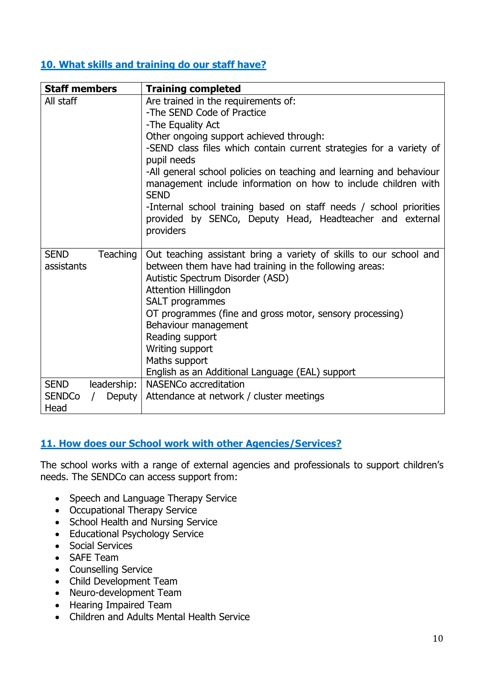# **10. What skills and training do our staff have?**

| <b>Staff members</b>                  | <b>Training completed</b>                                                                                                                                                                                                                                                                                                                                                                                                                                                                                                      |
|---------------------------------------|--------------------------------------------------------------------------------------------------------------------------------------------------------------------------------------------------------------------------------------------------------------------------------------------------------------------------------------------------------------------------------------------------------------------------------------------------------------------------------------------------------------------------------|
| All staff                             | Are trained in the requirements of:<br>-The SEND Code of Practice<br>-The Equality Act<br>Other ongoing support achieved through:<br>-SEND class files which contain current strategies for a variety of<br>pupil needs<br>-All general school policies on teaching and learning and behaviour<br>management include information on how to include children with<br><b>SEND</b><br>-Internal school training based on staff needs / school priorities<br>provided by SENCo, Deputy Head, Headteacher and external<br>providers |
| <b>SEND</b><br>Teaching<br>assistants | Out teaching assistant bring a variety of skills to our school and<br>between them have had training in the following areas:<br>Autistic Spectrum Disorder (ASD)<br><b>Attention Hillingdon</b><br>SALT programmes<br>OT programmes (fine and gross motor, sensory processing)<br>Behaviour management<br>Reading support<br>Writing support<br>Maths support<br>English as an Additional Language (EAL) support                                                                                                               |
| <b>SEND</b><br>leadership:            | NASENCo accreditation                                                                                                                                                                                                                                                                                                                                                                                                                                                                                                          |
| <b>SENDCo</b><br>Deputy  <br>Head     | Attendance at network / cluster meetings                                                                                                                                                                                                                                                                                                                                                                                                                                                                                       |

# **11. How does our School work with other Agencies/Services?**

The school works with a range of external agencies and professionals to support children's needs. The SENDCo can access support from:

- Speech and Language Therapy Service
- Occupational Therapy Service
- School Health and Nursing Service
- Educational Psychology Service
- Social Services
- SAFE Team
- Counselling Service
- Child Development Team
- Neuro-development Team
- Hearing Impaired Team
- Children and Adults Mental Health Service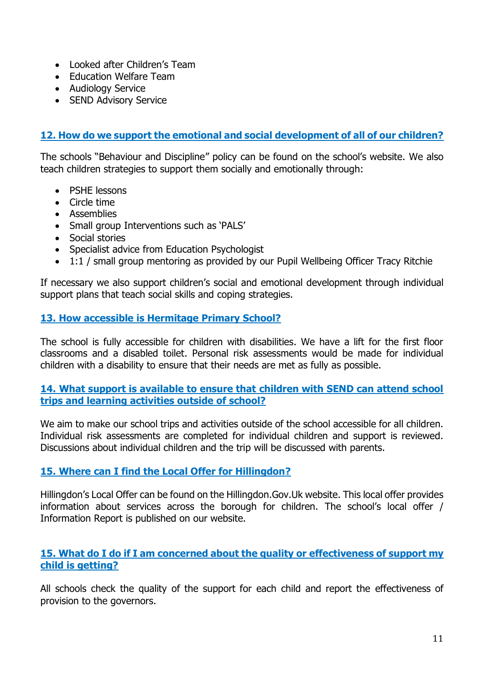- Looked after Children's Team
- Education Welfare Team
- Audiology Service
- SEND Advisory Service

# **12. How do we support the emotional and social development of all of our children?**

The schools "Behaviour and Discipline" policy can be found on the school's website. We also teach children strategies to support them socially and emotionally through:

- PSHE lessons
- Circle time
- Assemblies
- Small group Interventions such as 'PALS'
- Social stories
- Specialist advice from Education Psychologist
- 1:1 / small group mentoring as provided by our Pupil Wellbeing Officer Tracy Ritchie

If necessary we also support children's social and emotional development through individual support plans that teach social skills and coping strategies.

## **13. How accessible is Hermitage Primary School?**

The school is fully accessible for children with disabilities. We have a lift for the first floor classrooms and a disabled toilet. Personal risk assessments would be made for individual children with a disability to ensure that their needs are met as fully as possible.

#### **14. What support is available to ensure that children with SEND can attend school trips and learning activities outside of school?**

We aim to make our school trips and activities outside of the school accessible for all children. Individual risk assessments are completed for individual children and support is reviewed. Discussions about individual children and the trip will be discussed with parents.

# **15. Where can I find the Local Offer for Hillingdon?**

Hillingdon's Local Offer can be found on the Hillingdon.Gov.Uk website. This local offer provides information about services across the borough for children. The school's local offer / Information Report is published on our website.

## **15. What do I do if I am concerned about the quality or effectiveness of support my child is getting?**

All schools check the quality of the support for each child and report the effectiveness of provision to the governors.